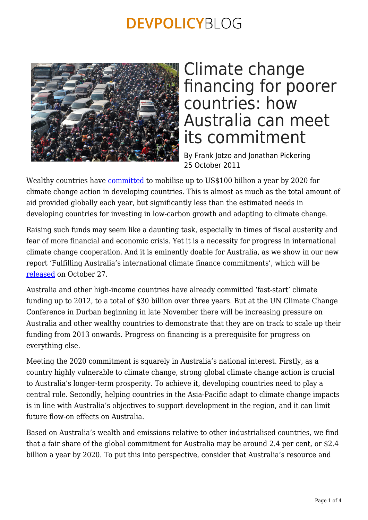

### Climate change financing for poorer countries: how Australia can meet its commitment

By Frank Jotzo and Jonathan Pickering 25 October 2011

Wealthy countries have [committed](https://devpolicy.org/climate-finance-getting-to-100-billion-a-year-by-2020/) to mobilise up to US\$100 billion a year by 2020 for climate change action in developing countries. This is almost as much as the total amount of aid provided globally each year, but significantly less than the estimated needs in developing countries for investing in low-carbon growth and adapting to climate change.

Raising such funds may seem like a daunting task, especially in times of fiscal austerity and fear of more financial and economic crisis. Yet it is a necessity for progress in international climate change cooperation. And it is eminently doable for Australia, as we show in our new report 'Fulfilling Australia's international climate finance commitments', which will be [released](http://www.crawford.anu.edu.au/media/more.php?id=4391) on October 27.

Australia and other high-income countries have already committed 'fast-start' climate funding up to 2012, to a total of \$30 billion over three years. But at the UN Climate Change Conference in Durban beginning in late November there will be increasing pressure on Australia and other wealthy countries to demonstrate that they are on track to scale up their funding from 2013 onwards. Progress on financing is a prerequisite for progress on everything else.

Meeting the 2020 commitment is squarely in Australia's national interest. Firstly, as a country highly vulnerable to climate change, strong global climate change action is crucial to Australia's longer-term prosperity. To achieve it, developing countries need to play a central role. Secondly, helping countries in the Asia-Pacific adapt to climate change impacts is in line with Australia's objectives to support development in the region, and it can limit future flow-on effects on Australia.

Based on Australia's wealth and emissions relative to other industrialised countries, we find that a fair share of the global commitment for Australia may be around 2.4 per cent, or \$2.4 billion a year by 2020. To put this into perspective, consider that Australia's resource and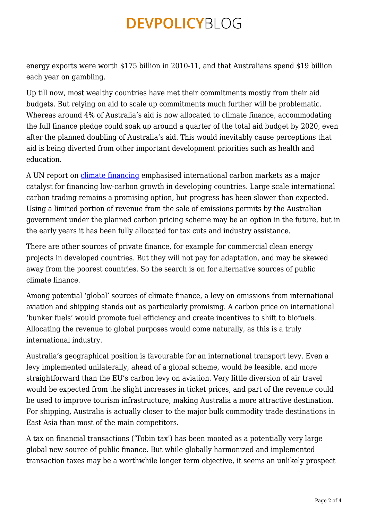energy exports were worth \$175 billion in 2010-11, and that Australians spend \$19 billion each year on gambling.

Up till now, most wealthy countries have met their commitments mostly from their aid budgets. But relying on aid to scale up commitments much further will be problematic. Whereas around 4% of Australia's aid is now allocated to climate finance, accommodating the full finance pledge could soak up around a quarter of the total aid budget by 2020, even after the planned doubling of Australia's aid. This would inevitably cause perceptions that aid is being diverted from other important development priorities such as health and education.

A UN report on [climate financing](https://devpolicy.org/climate-finance-getting-to-100-billion-a-year-by-2020/) emphasised international carbon markets as a major catalyst for financing low-carbon growth in developing countries. Large scale international carbon trading remains a promising option, but progress has been slower than expected. Using a limited portion of revenue from the sale of emissions permits by the Australian government under the planned carbon pricing scheme may be an option in the future, but in the early years it has been fully allocated for tax cuts and industry assistance.

There are other sources of private finance, for example for commercial clean energy projects in developed countries. But they will not pay for adaptation, and may be skewed away from the poorest countries. So the search is on for alternative sources of public climate finance.

Among potential 'global' sources of climate finance, a levy on emissions from international aviation and shipping stands out as particularly promising. A carbon price on international 'bunker fuels' would promote fuel efficiency and create incentives to shift to biofuels. Allocating the revenue to global purposes would come naturally, as this is a truly international industry.

Australia's geographical position is favourable for an international transport levy. Even a levy implemented unilaterally, ahead of a global scheme, would be feasible, and more straightforward than the EU's carbon levy on aviation. Very little diversion of air travel would be expected from the slight increases in ticket prices, and part of the revenue could be used to improve tourism infrastructure, making Australia a more attractive destination. For shipping, Australia is actually closer to the major bulk commodity trade destinations in East Asia than most of the main competitors.

A tax on financial transactions ('Tobin tax') has been mooted as a potentially very large global new source of public finance. But while globally harmonized and implemented transaction taxes may be a worthwhile longer term objective, it seems an unlikely prospect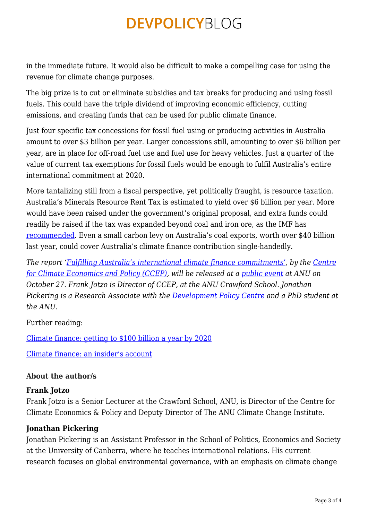in the immediate future. It would also be difficult to make a compelling case for using the revenue for climate change purposes.

The big prize is to cut or eliminate subsidies and tax breaks for producing and using fossil fuels. This could have the triple dividend of improving economic efficiency, cutting emissions, and creating funds that can be used for public climate finance.

Just four specific tax concessions for fossil fuel using or producing activities in Australia amount to over \$3 billion per year. Larger concessions still, amounting to over \$6 billion per year, are in place for off-road fuel use and fuel use for heavy vehicles. Just a quarter of the value of current tax exemptions for fossil fuels would be enough to fulfil Australia's entire international commitment at 2020.

More tantalizing still from a fiscal perspective, yet politically fraught, is resource taxation. Australia's Minerals Resource Rent Tax is estimated to yield over \$6 billion per year. More would have been raised under the government's original proposal, and extra funds could readily be raised if the tax was expanded beyond coal and iron ore, as the IMF has [recommended.](http://www.imf.org/external/pubs/ft/scr/2011/cr11300.pdf) Even a small carbon levy on Australia's coal exports, worth over \$40 billion last year, could cover Australia's climate finance contribution single-handedly.

*The report '[Fulfilling Australia's international climate finance commitments'](http://ccep.anu.edu.au/research/), by the [Centre](http://ccep.anu.edu.au) [for Climate Economics and Policy \(CCEP\)](http://ccep.anu.edu.au), will be released at a [public event](http://www.crawford.anu.edu.au/media/more.php?id=4391) at ANU on October 27. Frank Jotzo is Director of CCEP, at the ANU Crawford School. Jonathan Pickering is a Research Associate with the [Development Policy Centre](http://devpolicy.anu.edu.au/) and a PhD student at the ANU.*

#### Further reading:

[Climate finance: getting to \\$100 billion a year by 2020](https://devpolicy.org/climate-finance-getting-to-100-billion-a-year-by-2020/)

[Climate finance: an insider's account](https://devpolicy.org/advisory-group-on-climate-finance-an-insiders-account/)

#### **About the author/s**

#### **Frank Jotzo**

Frank Jotzo is a Senior Lecturer at the Crawford School, ANU, is Director of the Centre for Climate Economics & Policy and Deputy Director of The ANU Climate Change Institute.

#### **Jonathan Pickering**

Jonathan Pickering is an Assistant Professor in the School of Politics, Economics and Society at the University of Canberra, where he teaches international relations. His current research focuses on global environmental governance, with an emphasis on climate change